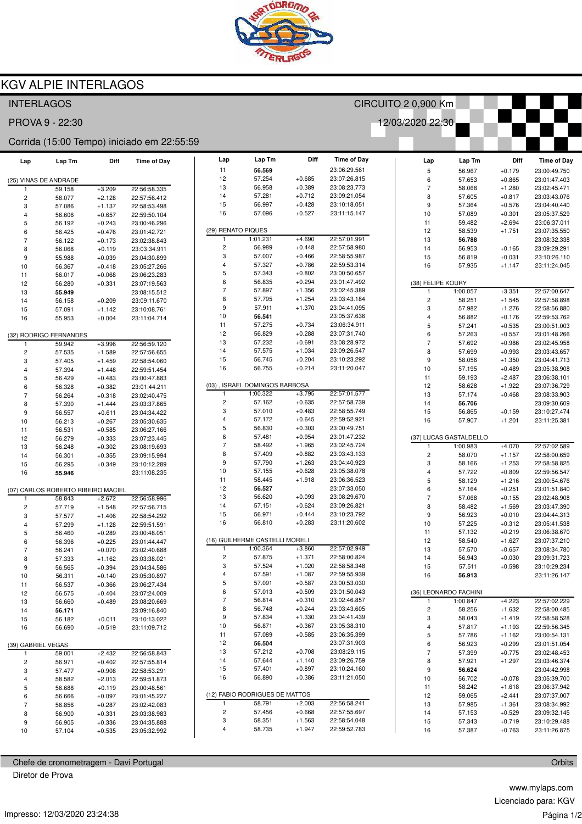

## KGV ALPIE INTERLAGOS

| <b>INTERLAGOS</b>                          |                                    |          |                    |    | CIRCUITO 2 0,900 Km     |                                |                      |                              |                         |          |              |                    |
|--------------------------------------------|------------------------------------|----------|--------------------|----|-------------------------|--------------------------------|----------------------|------------------------------|-------------------------|----------|--------------|--------------------|
| 12/03/2020 22:30<br>PROVA 9 - 22:30        |                                    |          |                    |    |                         |                                |                      |                              |                         |          |              |                    |
| Corrida (15:00 Tempo) iniciado em 22:55:59 |                                    |          |                    |    |                         |                                |                      |                              |                         |          |              |                    |
| Lap                                        | Lap Tm                             | Diff     | <b>Time of Day</b> |    | Lap                     | Lap Tm                         | Diff                 | <b>Time of Day</b>           | Lap                     | Lap Tm   | Diff         | <b>Time of Day</b> |
|                                            |                                    |          |                    |    | 11                      | 56.569                         |                      | 23:06:29.561                 | $\mathbf 5$             | 56.967   | $+0.179$     | 23:00:49.750       |
|                                            | (25) VINAS DE ANDRADE              |          |                    |    | 12                      | 57.254                         | $+0.685$             | 23:07:26.815                 | 6                       | 57.653   | $+0.865$     | 23:01:47.403       |
|                                            | 59.158                             | $+3.209$ | 22:56:58.335       |    | 13                      | 56.958                         | $+0.389$             | 23:08:23.773                 | $\overline{7}$          | 58.068   | $+1.280$     | 23:02:45.471       |
| $\overline{\mathbf{c}}$                    | 58.077                             | $+2.128$ | 22:57:56.412       |    | 14                      | 57.281                         | $+0.712$             | 23:09:21.054                 | 8                       | 57.605   | $+0.817$     | 23:03:43.076       |
| 3                                          | 57.086                             | $+1.137$ | 22:58:53.498       |    | 15                      | 56.997                         | $+0.428$             | 23:10:18.051                 | 9                       | 57.364   | $+0.576$     | 23:04:40.440       |
| $\overline{4}$                             | 56.606                             | $+0.657$ | 22:59:50.104       |    | 16                      | 57.096                         | $+0.527$             | 23:11:15.147                 | 10                      | 57.089   | $+0.301$     | 23:05:37.529       |
| 5                                          | 56.192                             | $+0.243$ | 23:00:46.296       |    |                         |                                |                      |                              | 11                      | 59.482   | $+2.694$     | 23:06:37.011       |
| 6                                          | 56.425                             | $+0.476$ | 23:01:42.721       |    |                         | (29) RENATO PIQUES             |                      |                              | 12                      | 58.539   | $+1.751$     | 23:07:35.550       |
| $\overline{7}$                             | 56.122                             | $+0.173$ | 23:02:38.843       |    | 1                       | 1:01.231                       | $+4.690$             | 22:57:01.991                 | 13                      | 56.788   |              | 23:08:32.338       |
| 8                                          | 56.068                             | $+0.119$ | 23:03:34.911       |    | $\overline{\mathbf{c}}$ | 56.989                         | $+0.448$             | 22:57:58.980                 | 14                      | 56.953   | $+0.165$     | 23:09:29.291       |
| 9                                          | 55.988                             | $+0.039$ | 23:04:30.899       |    | 3                       | 57.007                         | $+0.466$             | 22:58:55.987                 | 15                      | 56.819   | $+0.031$     | 23:10:26.110       |
| 10                                         | 56.367                             | $+0.418$ | 23:05:27.266       |    | 4                       | 57.327                         | $+0.786$             | 22:59:53.314                 | 16                      | 57.935   | $+1.147$     | 23:11:24.045       |
| 11                                         | 56.017                             | $+0.068$ | 23:06:23.283       |    | 5                       | 57.343                         | $+0.802$             | 23:00:50.657                 |                         |          |              |                    |
| 12                                         | 56.280                             | $+0.331$ | 23:07:19.563       |    | 6                       | 56.835                         | $+0.294$             | 23:01:47.492                 | (38) FELIPE KOURY       |          |              |                    |
| 13                                         | 55.949                             |          | 23:08:15.512       |    | $\overline{7}$          | 57.897                         | $+1.356$             | 23:02:45.389                 | $\mathbf{1}$            | 1:00.057 | $+3.351$     | 22:57:00.647       |
| 14                                         | 56.158                             | $+0.209$ | 23:09:11.670       |    | 8                       | 57.795                         | $+1.254$             | 23:03:43.184                 | $\overline{\mathbf{c}}$ | 58.251   | $+1.545$     | 22:57:58.898       |
| 15                                         | 57.091                             | $+1.142$ | 23:10:08.761       |    | 9                       | 57.911                         | $+1.370$             | 23:04:41.095                 | 3                       | 57.982   | $+1.276$     | 22:58:56.880       |
| 16                                         | 55.953                             | $+0.004$ | 23:11:04.714       |    | 10                      | 56.541                         |                      | 23:05:37.636                 | $\overline{\mathbf{4}}$ | 56.882   | $+0.176$     | 22:59:53.762       |
|                                            |                                    |          |                    |    | 11                      | 57.275                         | $+0.734$             | 23:06:34.911                 | 5                       | 57.241   | $+0.535$     | 23:00:51.003       |
|                                            | (32) RODRIGO FERNANDES             |          |                    |    | 12                      | 56.829                         | $+0.288$             | 23:07:31.740                 | 6                       | 57.263   | $+0.557$     | 23:01:48.266       |
|                                            | 59.942                             | $+3.996$ | 22:56:59.120       |    | 13                      | 57.232                         | $+0.691$             | 23:08:28.972                 | $\overline{7}$          | 57.692   | $+0.986$     | 23:02:45.958       |
| $\overline{c}$                             | 57.535                             | $+1.589$ | 22:57:56.655       |    | 14                      | 57.575                         | $+1.034$             | 23:09:26.547                 | 8                       | 57.699   | $+0.993$     | 23:03:43.657       |
| 3                                          | 57.405                             | $+1.459$ | 22:58:54.060       |    | 15                      | 56.745                         | $+0.204$             | 23:10:23.292                 | 9                       | 58.056   | $+1.350$     | 23:04:41.713       |
| $\overline{4}$                             | 57.394                             | $+1.448$ | 22:59:51.454       |    | 16                      | 56.755                         | $+0.214$             | 23:11:20.047                 | 10                      | 57.195   | $+0.489$     | 23:05:38.908       |
| 5                                          | 56.429                             | $+0.483$ | 23:00:47.883       |    |                         |                                |                      |                              | 11                      | 59.193   | $+2.487$     | 23:06:38.101       |
| 6                                          | 56.328                             | $+0.382$ | 23:01:44.211       |    |                         | (03), ISRAEL DOMINGOS BARBOSA  |                      |                              | 12                      | 58.628   | $+1.922$     | 23:07:36.729       |
| $\overline{7}$                             | 56.264                             | $+0.318$ | 23:02:40.475       |    |                         | 1:00.322                       | $+3.795$             | 22:57:01.577                 | 13                      | 57.174   | $+0.468$     | 23:08:33.903       |
| 8                                          | 57.390                             | $+1.444$ | 23:03:37.865       |    | $\overline{\mathbf{c}}$ | 57.162                         | $+0.635$             | 22:57:58.739                 | 14                      | 56.706   |              | 23:09:30.609       |
| 9                                          | 56.557                             | $+0.611$ | 23:04:34.422       |    | 3                       | 57.010                         | $+0.483$             | 22:58:55.749                 | 15                      | 56.865   | $+0.159$     | 23:10:27.474       |
| 10                                         | 56.213                             |          |                    |    | $\overline{4}$          | 57.172                         | $+0.645$             | 22:59:52.921                 | 16                      | 57.907   | $+1.201$     | 23:11:25.381       |
|                                            |                                    | $+0.267$ | 23:05:30.635       |    | 5                       | 56.830                         | $+0.303$             | 23:00:49.751                 |                         |          |              |                    |
| 11                                         | 56.531                             | $+0.585$ | 23:06:27.166       |    | 6                       | 57.481                         | $+0.954$             | 23:01:47.232                 | (37) LUCAS GASTALDELLO  |          |              |                    |
| 12                                         | 56.279                             | $+0.333$ | 23:07:23.445       |    | $\overline{7}$          | 58.492                         | $+1.965$             | 23:02:45.724                 | -1                      | 1:00.983 | $+4.070$     | 22:57:02.589       |
| 13                                         | 56.248                             | $+0.302$ | 23:08:19.693       |    | 8                       | 57.409                         | $+0.882$             | 23:03:43.133                 | $\mathbf 2$             | 58.070   | $+1.157$     | 22:58:00.659       |
| 14                                         | 56.301                             | $+0.355$ | 23:09:15.994       |    | 9                       | 57.790                         | $+1.263$             | 23:04:40.923                 | 3                       |          | $+1.253$     | 22:58:58.825       |
| 15                                         | 56.295                             | $+0.349$ | 23:10:12.289       |    | 10                      | 57.155                         | $+0.628$             | 23:05:38.078                 | 4                       | 58.166   |              |                    |
| 16                                         | 55.946                             |          | 23:11:08.235       |    | 11                      | 58.445                         | $+1.918$             | 23:06:36.523                 |                         | 57.722   | $+0.809$     | 22:59:56.547       |
|                                            |                                    |          |                    |    | 12                      | 56.527                         |                      | 23:07:33.050                 | 5                       | 58.129   | $+1.216$     | 23:00:54.676       |
|                                            | (07) CARLOS ROBERTO RIBEIRO MACIEL |          |                    |    | 13                      | 56.620                         | $+0.093$             | 23:08:29.670                 | 6                       | 57.164   | $+0.251$     | 23:01:51.840       |
| -1                                         | 58.843                             | $+2.672$ | 22:56:58.996       |    | 14                      | 57.151                         | $+0.624$             | 23:09:26.821                 | $\overline{7}$          | 57.068   | $+0.155$     | 23:02:48.908       |
| $\overline{c}$                             | 57.719                             | $+1.548$ | 22:57:56.715       |    |                         |                                |                      |                              | 8                       | 58.482   | $+1.569$     | 23:03:47.390       |
| 3                                          | 57.577                             | $+1.406$ | 22:58:54.292       |    | 15<br>16                | 56.971<br>56.810               | $+0.444$<br>$+0.283$ | 23:10:23.792<br>23:11:20.602 | 9                       | 56.923   | $+0.010$     | 23:04:44.313       |
| 4                                          | 57.299                             | $+1.128$ | 22:59:51.591       |    |                         |                                |                      |                              | 10                      | 57.225   | $+0.312$     | 23:05:41.538       |
| 5                                          | 56.460                             | $+0.289$ | 23:00:48.051       |    |                         |                                |                      |                              | 11                      | 57.132   | $+0.219$     | 23:06:38.670       |
| 6                                          | 56.396                             | $+0.225$ | 23:01:44.447       |    |                         | (16) GUILHERME CASTELLI MORELI |                      |                              | 12                      | 58.540   | $+1.627$     | 23:07:37.210       |
| $\overline{7}$                             | 56.241                             | $+0.070$ | 23:02:40.688       |    | $\mathbf{1}$            | 1:00.364                       | $+3.860$             | 22:57:02.949                 | 13                      | 57.570   | $+0.657$     | 23:08:34.780       |
| 8                                          | 57.333                             | $+1.162$ | 23:03:38.021       |    | $\sqrt{2}$              | 57.875                         | $+1.371$             | 22:58:00.824                 | 14                      | 56.943   | $+0.030$     | 23:09:31.723       |
| 9                                          | 56.565                             | $+0.394$ | 23:04:34.586       |    | 3                       | 57.524                         | $+1.020$             | 22:58:58.348                 | 15                      | 57.511   | $+0.598$     | 23:10:29.234       |
| 10                                         | 56.311                             | $+0.140$ | 23:05:30.897       |    | 4                       | 57.591                         | $+1.087$             | 22:59:55.939                 | 16                      | 56.913   |              | 23:11:26.147       |
| 11                                         | 56.537                             | $+0.366$ | 23:06:27.434       |    | 5                       | 57.091                         | $+0.587$             | 23:00:53.030                 |                         |          |              |                    |
| 12                                         | 56.575                             | $+0.404$ | 23:07:24.009       |    | 6                       | 57.013                         | $+0.509$             | 23:01:50.043                 | (36) LEONARDO FACHINI   |          |              |                    |
| 13                                         | 56.660                             | $+0.489$ | 23:08:20.669       |    | $\overline{7}$          | 56.814                         | $+0.310$             | 23:02:46.857                 | 1                       | 1:00.847 | $+4.223$     | 22:57:02.229       |
| 14                                         | 56.171                             |          | 23:09:16.840       |    | 8                       | 56.748                         | $+0.244$             | 23:03:43.605                 | 2                       | 58.256   | $+1.632$     | 22:58:00.485       |
| 15                                         | 56.182                             | $+0.011$ | 23:10:13.022       |    | 9                       | 57.834                         | $+1.330$             | 23:04:41.439                 | 3                       | 58.043   | $+1.419$     | 22:58:58.528       |
| 16                                         | 56.690                             | $+0.519$ | 23:11:09.712       |    | 10                      | 56.871                         | $+0.367$             | 23:05:38.310                 | $\overline{\mathbf{4}}$ | 57.817   | $+1.193$     | 22:59:56.345       |
|                                            |                                    |          |                    |    | 11                      | 57.089                         | $+0.585$             | 23:06:35.399                 | 5                       | 57.786   | $+1.162$     | 23:00:54.131       |
| (39) GABRIEL VEGAS                         |                                    |          |                    | 12 | 56.504                  |                                | 23:07:31.903         | 6                            | 56.923                  | $+0.299$ | 23:01:51.054 |                    |
| 1                                          | 59.001                             | $+2.432$ | 22:56:58.843       |    | 13                      | 57.212                         | $+0.708$             | 23:08:29.115                 | $\boldsymbol{7}$        | 57.399   | $+0.775$     | 23:02:48.453       |
| $\overline{c}$                             | 56.971                             | $+0.402$ | 22:57:55.814       |    | 14                      | 57.644                         | $+1.140$             | 23:09:26.759                 | 8                       | 57.921   | $+1.297$     | 23:03:46.374       |
| 3                                          | 57.477                             | $+0.908$ | 22:58:53.291       |    | 15                      | 57.401                         | $+0.897$             | 23:10:24.160                 | 9                       | 56.624   |              | 23:04:42.998       |
| 4                                          | 58.582                             | $+2.013$ | 22:59:51.873       |    | 16                      | 56.890                         | $+0.386$             | 23:11:21.050                 | 10                      | 56.702   | $+0.078$     | 23:05:39.700       |
| 5                                          | 56.688                             | $+0.119$ | 23:00:48.561       |    |                         |                                |                      |                              | 11                      | 58.242   | $+1.618$     | 23:06:37.942       |
| 6                                          | 56.666                             | $+0.097$ | 23:01:45.227       |    |                         | (12) FABIO RODRIGUES DE MATTOS |                      |                              | 12                      | 59.065   | $+2.441$     | 23:07:37.007       |
| 7                                          | 56.856                             | $+0.287$ | 23:02:42.083       |    |                         | 58.791                         | $+2.003$             | 22:56:58.241                 | 13                      | 57.985   | $+1.361$     | 23:08:34.992       |
| 8                                          | 56.900                             | $+0.331$ | 23:03:38.983       |    | $\overline{c}$          | 57.456                         | $+0.668$             | 22:57:55.697                 | 14                      | 57.153   | $+0.529$     | 23:09:32.145       |
| 9                                          | 56.905                             | $+0.336$ | 23:04:35.888       |    | 3                       | 58.351                         | $+1.563$             | 22:58:54.048                 | 15                      | 57.343   | $+0.719$     | 23:10:29.488       |
| 10                                         | 57.104                             | $+0.535$ | 23:05:32.992       |    | 4                       | 58.735                         | $+1.947$             | 22:59:52.783                 | 16                      | 57.387   | $+0.763$     | 23:11:26.875       |
|                                            |                                    |          |                    |    |                         |                                |                      |                              |                         |          |              |                    |

Chefe de cronometragem - Davi Portugal Diretor de Prova

www.mylaps.com Licenciado para: KGV Página 1/2

**Orbits**